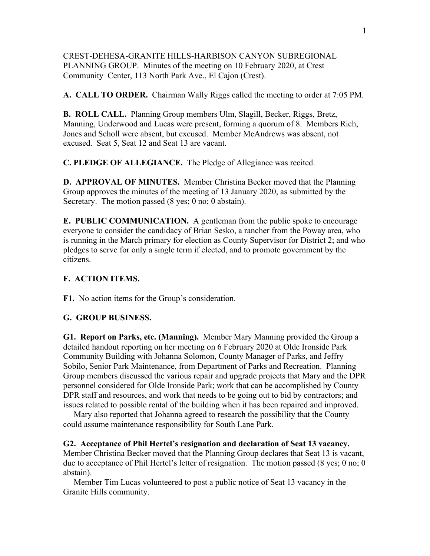# CREST-DEHESA-GRANITE HILLS-HARBISON CANYON SUBREGIONAL PLANNING GROUP. Minutes of the meeting on 10 February 2020, at Crest Community Center, 113 North Park Ave., El Cajon (Crest).

**A. CALL TO ORDER.** Chairman Wally Riggs called the meeting to order at 7:05 PM.

**B. ROLL CALL.** Planning Group members Ulm, Slagill, Becker, Riggs, Bretz, Manning, Underwood and Lucas were present, forming a quorum of 8. Members Rich, Jones and Scholl were absent, but excused. Member McAndrews was absent, not excused. Seat 5, Seat 12 and Seat 13 are vacant.

**C. PLEDGE OF ALLEGIANCE.** The Pledge of Allegiance was recited.

**D. APPROVAL OF MINUTES.** Member Christina Becker moved that the Planning Group approves the minutes of the meeting of 13 January 2020, as submitted by the Secretary. The motion passed (8 yes; 0 no; 0 abstain).

**E. PUBLIC COMMUNICATION.** A gentleman from the public spoke to encourage everyone to consider the candidacy of Brian Sesko, a rancher from the Poway area, who is running in the March primary for election as County Supervisor for District 2; and who pledges to serve for only a single term if elected, and to promote government by the citizens.

# **F. ACTION ITEMS.**

**F1.** No action items for the Group's consideration.

### **G. GROUP BUSINESS.**

**G1. Report on Parks, etc. (Manning).** Member Mary Manning provided the Group a detailed handout reporting on her meeting on 6 February 2020 at Olde Ironside Park Community Building with Johanna Solomon, County Manager of Parks, and Jeffry Sobilo, Senior Park Maintenance, from Department of Parks and Recreation. Planning Group members discussed the various repair and upgrade projects that Mary and the DPR personnel considered for Olde Ironside Park; work that can be accomplished by County DPR staff and resources, and work that needs to be going out to bid by contractors; and issues related to possible rental of the building when it has been repaired and improved.

 Mary also reported that Johanna agreed to research the possibility that the County could assume maintenance responsibility for South Lane Park.

#### **G2. Acceptance of Phil Hertel's resignation and declaration of Seat 13 vacancy.**

Member Christina Becker moved that the Planning Group declares that Seat 13 is vacant, due to acceptance of Phil Hertel's letter of resignation. The motion passed (8 yes; 0 no; 0 abstain).

 Member Tim Lucas volunteered to post a public notice of Seat 13 vacancy in the Granite Hills community.